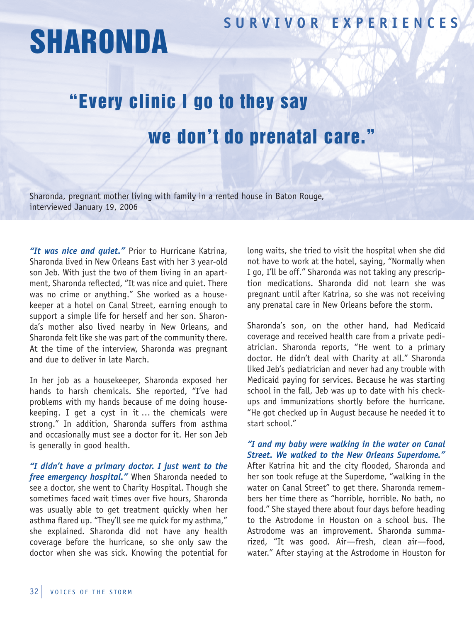## **SUR V I V OR EX P ER I ENCES**

## **SHARONDA**

## "Every clinic I go to they say we don't do prenatal care."

Sharonda, pregnant mother living with family in a rented house in Baton Rouge, interviewed January 19, 2006

*"It was nice and quiet."* Prior to Hurricane Katrina, Sharonda lived in New Orleans East with her 3 year-old son Jeb. With just the two of them living in an apartment, Sharonda reflected, "It was nice and quiet. There was no crime or anything." She worked as a housekeeper at a hotel on Canal Street, earning enough to support a simple life for herself and her son. Sharonda's mother also lived nearby in New Orleans, and Sharonda felt like she was part of the community there. At the time of the interview, Sharonda was pregnant and due to deliver in late March.

In her job as a housekeeper, Sharonda exposed her hands to harsh chemicals. She reported, "I've had problems with my hands because of me doing housekeeping. I get a cyst in it … the chemicals were strong." In addition, Sharonda suffers from asthma and occasionally must see a doctor for it. Her son Jeb is generally in good health.

*"I didn't have a primary doctor. I just went to the free emergency hospital."* When Sharonda needed to see a doctor, she went to Charity Hospital. Though she sometimes faced wait times over five hours, Sharonda was usually able to get treatment quickly when her asthma flared up. "They'll see me quick for my asthma," she explained. Sharonda did not have any health coverage before the hurricane, so she only saw the doctor when she was sick. Knowing the potential for

long waits, she tried to visit the hospital when she did not have to work at the hotel, saying, "Normally when I go, I'll be off." Sharonda was not taking any prescription medications. Sharonda did not learn she was pregnant until after Katrina, so she was not receiving any prenatal care in New Orleans before the storm.

Sharonda's son, on the other hand, had Medicaid coverage and received health care from a private pediatrician. Sharonda reports, "He went to a primary doctor. He didn't deal with Charity at all." Sharonda liked Jeb's pediatrician and never had any trouble with Medicaid paying for services. Because he was starting school in the fall, Jeb was up to date with his checkups and immunizations shortly before the hurricane. "He got checked up in August because he needed it to start school."

## *"I and my baby were walking in the water on Canal Street. We walked to the New Orleans Superdome."*

After Katrina hit and the city flooded, Sharonda and her son took refuge at the Superdome, "walking in the water on Canal Street" to get there. Sharonda remembers her time there as "horrible, horrible. No bath, no food." She stayed there about four days before heading to the Astrodome in Houston on a school bus. The Astrodome was an improvement. Sharonda summarized, "It was good. Air—fresh, clean air—food, water." After staying at the Astrodome in Houston for